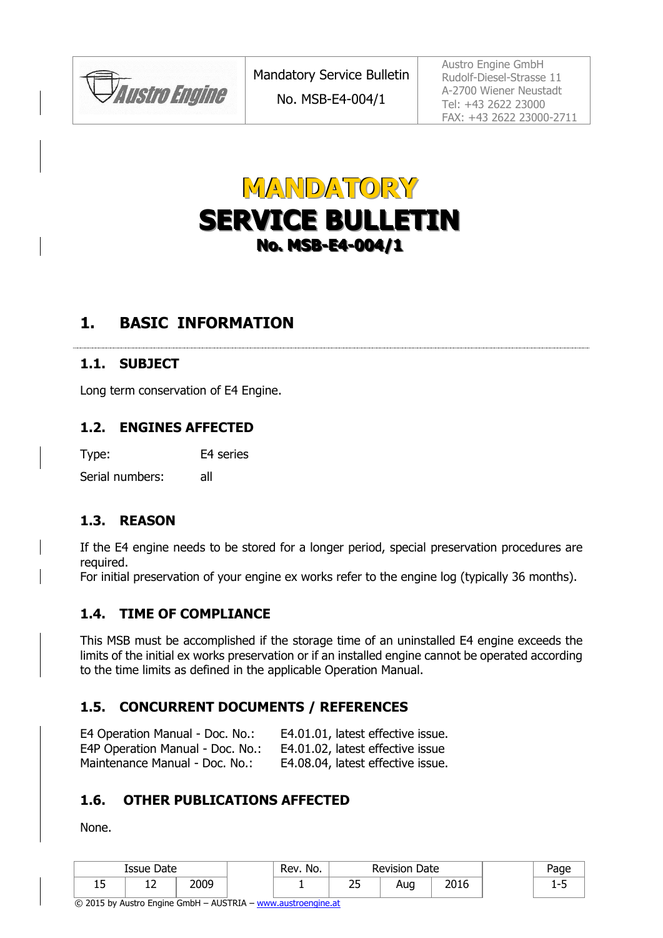**JAustro Engine** 



# **1. BASIC INFORMATION**

#### **1.1. SUBJECT**

Long term conservation of E4 Engine.

#### **1.2. ENGINES AFFECTED**

Type: E4 series

Serial numbers: all

#### **1.3. REASON**

If the E4 engine needs to be stored for a longer period, special preservation procedures are required.

For initial preservation of your engine ex works refer to the engine log (typically 36 months).

#### <span id="page-0-0"></span>**1.4. TIME OF COMPLIANCE**

This MSB must be accomplished if the storage time of an uninstalled E4 engine exceeds the limits of the initial ex works preservation or if an installed engine cannot be operated according to the time limits as defined in the applicable Operation Manual.

### **1.5. CONCURRENT DOCUMENTS / REFERENCES**

| E4 Operation Manual - Doc. No.:  | E4.01.01, latest effective issue. |
|----------------------------------|-----------------------------------|
| E4P Operation Manual - Doc. No.: | E4.01.02, latest effective issue  |
| Maintenance Manual - Doc. No.:   | E4.08.04, latest effective issue. |

### **1.6. OTHER PUBLICATIONS AFFECTED**

None.

|   | Issue Date |      | No.<br>Rev. | Date<br>Revision    |     |       | 'age |
|---|------------|------|-------------|---------------------|-----|-------|------|
| ∸ | <u>_</u>   | 2009 |             | $\sim$ $\sim$<br>-- | Aug | 20.4c | -    |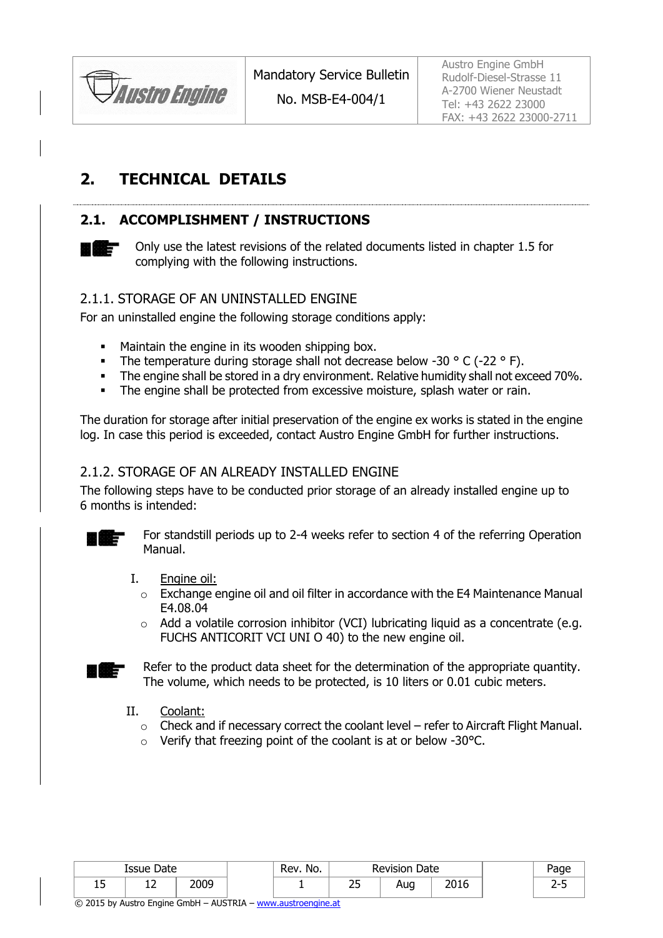

No. MSB-E4-004/1

Austro Engine GmbH Rudolf-Diesel-Strasse 11 A-2700 Wiener Neustadt Tel: +43 2622 23000 FAX: +43 2622 23000-2711

# **2. TECHNICAL DETAILS**

# <span id="page-1-0"></span>**2.1. ACCOMPLISHMENT / INSTRUCTIONS**



Only use the latest revisions of the related documents listed in chapter 1.5 for complying with the following instructions.

#### 2.1.1. STORAGE OF AN UNINSTALLED ENGINE

For an uninstalled engine the following storage conditions apply:

- **Maintain the engine in its wooden shipping box.**
- The temperature during storage shall not decrease below -30  $\degree$  C (-22  $\degree$  F).
- The engine shall be stored in a dry environment. Relative humidity shall not exceed 70%.
- The engine shall be protected from excessive moisture, splash water or rain.

The duration for storage after initial preservation of the engine ex works is stated in the engine log. In case this period is exceeded, contact Austro Engine GmbH for further instructions.

#### 2.1.2. STORAGE OF AN ALREADY INSTALLED ENGINE

The following steps have to be conducted prior storage of an already installed engine up to 6 months is intended:



For standstill periods up to 2-4 weeks refer to section 4 of the referring Operation Manual.

- I. Engine oil:
	- $\circ$  Exchange engine oil and oil filter in accordance with the E4 Maintenance Manual E4.08.04
	- o Add a volatile corrosion inhibitor (VCI) lubricating liquid as a concentrate (e.g. FUCHS ANTICORIT VCI UNI O 40) to the new engine oil.



Refer to the product data sheet for the determination of the appropriate quantity. The volume, which needs to be protected, is 10 liters or 0.01 cubic meters.

- II. Coolant:
	- $\circ$  Check and if necessary correct the coolant level refer to Aircraft Flight Manual.
	- $\circ$  Verify that freezing point of the coolant is at or below -30 $\degree$ C.

|   | Date<br>Issue |            | No.<br>Rev. | Date<br>Revision    |     |              |  |
|---|---------------|------------|-------------|---------------------|-----|--------------|--|
| ᅩ | ∸∸            | <b>DUC</b> |             | $\sim$ $\sim$<br>بے | Aug | 2016<br>ZUIO |  |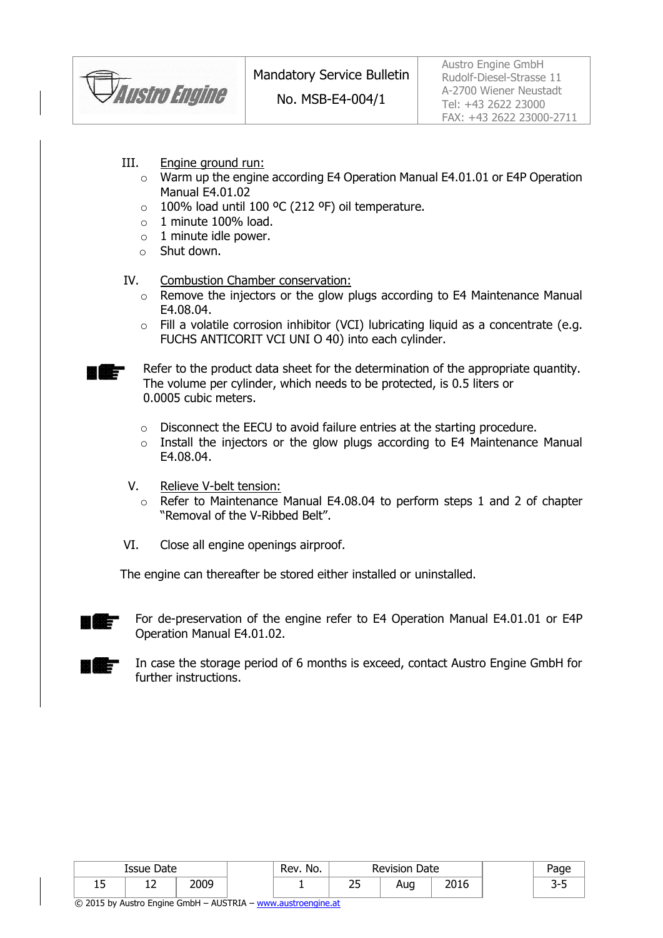

No. MSB-E4-004/1

Austro Engine GmbH Rudolf-Diesel-Strasse 11 A-2700 Wiener Neustadt Tel: +43 2622 23000 FAX: +43 2622 23000-2711

- III. Engine ground run:
	- o Warm up the engine according E4 Operation Manual E4.01.01 or E4P Operation Manual E4.01.02
	- $\circ$  100% load until 100 °C (212 °F) oil temperature.
	- $\circ$  1 minute 100% load.
	- $\circ$  1 minute idle power.
	- o Shut down.

#### IV. Combustion Chamber conservation:

- o Remove the injectors or the glow plugs according to E4 Maintenance Manual E4.08.04.
- o Fill a volatile corrosion inhibitor (VCI) lubricating liquid as a concentrate (e.g. FUCHS ANTICORIT VCI UNI O 40) into each cylinder.
- Refer to the product data sheet for the determination of the appropriate quantity. The volume per cylinder, which needs to be protected, is 0.5 liters or 0.0005 cubic meters.
	- o Disconnect the EECU to avoid failure entries at the starting procedure.
	- o Install the injectors or the glow plugs according to E4 Maintenance Manual E4.08.04.
- V. Relieve V-belt tension:
	- o Refer to Maintenance Manual E4.08.04 to perform steps 1 and 2 of chapter "Removal of the V-Ribbed Belt".
- VI. Close all engine openings airproof.

The engine can thereafter be stored either installed or uninstalled.



i iliz

For de-preservation of the engine refer to E4 Operation Manual E4.01.01 or E4P Operation Manual E4.01.02.



In case the storage period of 6 months is exceed, contact Austro Engine GmbH for further instructions.

|    | Issue Date |      | No.<br>Rev. | Date<br>Revision |     |      |   |
|----|------------|------|-------------|------------------|-----|------|---|
| ∸~ | ∸∸         | 2009 |             | ~~<br>--         | Aug | 2016 | ັ |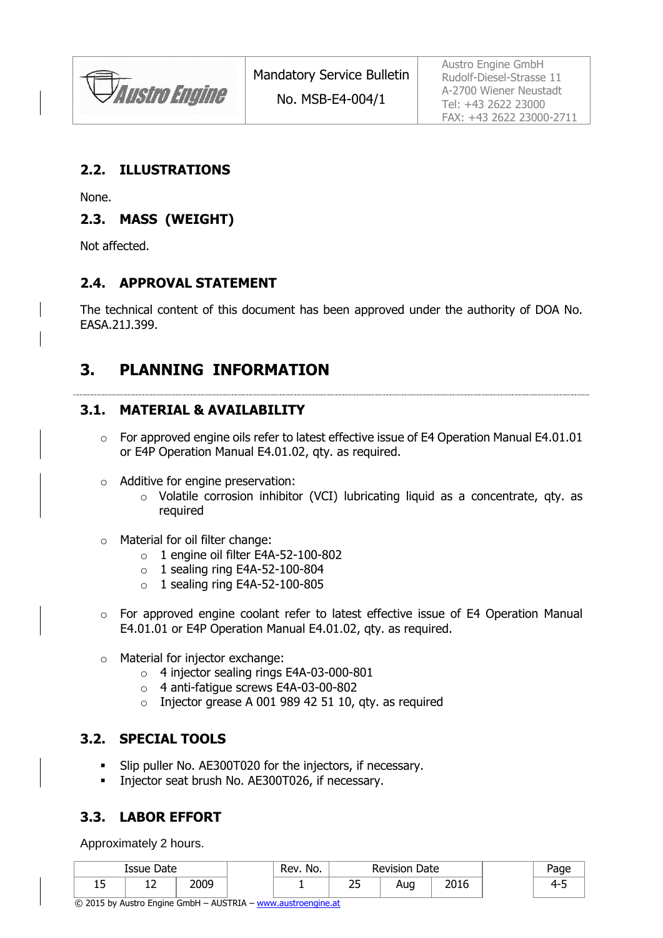**JAustro Engine** 

No. MSB-E4-004/1

Austro Engine GmbH Rudolf-Diesel-Strasse 11 A-2700 Wiener Neustadt Tel: +43 2622 23000 FAX: +43 2622 23000-2711

### **2.2. ILLUSTRATIONS**

None.

### **2.3. MASS (WEIGHT)**

Not affected.

### **2.4. APPROVAL STATEMENT**

The technical content of this document has been approved under the authority of DOA No. EASA.21J.399.

# **3. PLANNING INFORMATION**

### **3.1. MATERIAL & AVAILABILITY**

- o For approved engine oils refer to latest effective issue of E4 Operation Manual E4.01.01 or E4P Operation Manual E4.01.02, qty. as required.
- o Additive for engine preservation:
	- o Volatile corrosion inhibitor (VCI) lubricating liquid as a concentrate, qty. as required
- o Material for oil filter change:
	- o 1 engine oil filter E4A-52-100-802
	- $\circ$  1 sealing ring E4A-52-100-804
	- $\circ$  1 sealing ring E4A-52-100-805
- $\circ$  For approved engine coolant refer to latest effective issue of E4 Operation Manual E4.01.01 or E4P Operation Manual E4.01.02, qty. as required.
- o Material for injector exchange:
	- o 4 injector sealing rings E4A-03-000-801
	- o 4 anti-fatigue screws E4A-03-00-802
	- $\circ$  Injector grease A 001 989 42 51 10, gty. as required

### **3.2. SPECIAL TOOLS**

- Slip puller No. AE300T020 for the injectors, if necessary.
- **Injector seat brush No. AE300T026, if necessary.**

# **3.3. LABOR EFFORT**

Approximately 2 hours.

|   | Issue Date |      | Rev. No. | <b>Revision Date</b> |     |      | Page |
|---|------------|------|----------|----------------------|-----|------|------|
| ∸ | ∸∸         | 2009 |          | <u>_</u><br>--       | Aug | 2016 | 4-   |